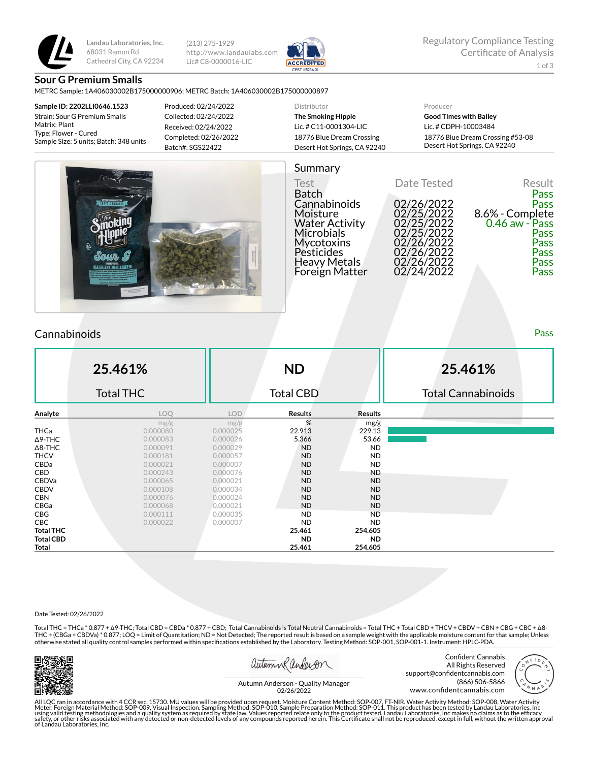

**Landau Laboratories, Inc.** 68031 Ramon Rd Cathedral City, CA 92234 (213) 275-1929 http://www.landaulabs.com Lic# C8-0000016-LIC



### **Sour G Premium Smalls**

METRC Sample: 1A406030002B175000000906; METRC Batch: 1A406030002B175000000897

**Sample ID: 2202LLI0646.1523** Strain: Sour G Premium Smalls Matrix: Plant Type: Flower - Cured Sample Size: 5 units; Batch: 348 units Produced: 02/24/2022 Collected: 02/24/2022 Received: 02/24/2022 Completed: 02/26/2022 Batch#: SGS22422

#### Distributor **The Smoking Hippie** Lic. # C11-0001304-LIC 18776 Blue Dream Crossing Desert Hot Springs, CA 92240 Producer **Good Times with Bailey** Lic. # CDPH-10003484 18776 Blue Dream Crossing #53-08 Desert Hot Springs, CA 92240



# Summary

Test **Date Tested** Result Batch Pass Cannabinoids 02/26/2022 Pass Cannabinoids 02/26/2022<br>Moisture 02/25/2022 8.6% - Complete<br>Water Activity 02/25/2022 0.46 aw - Pass Water Activity 02/25/2022 0.46 aw - Pass Microbials 02/25/2022 Pass Mycotoxins 02/26/2022 Pass<br>Pesticides 02/26/2022 Pass 02/26/2022<br>02/26/2022 Pass<br>02/24/2022 Pass Heavy Metals 02/26/2022 Pass Foreign Matter

# Cannabinoids Pass

|                  | 25.461%          |            | <b>ND</b>        |                | 25.461%                   |
|------------------|------------------|------------|------------------|----------------|---------------------------|
|                  | <b>Total THC</b> |            | <b>Total CBD</b> |                | <b>Total Cannabinoids</b> |
| Analyte          | LOQ              | <b>LOD</b> | <b>Results</b>   | <b>Results</b> |                           |
|                  | mg/g             | mg/g       | %                | mg/g           |                           |
| THCa             | 0.000080         | 0.000025   | 22.913           | 229.13         |                           |
| $\Delta$ 9-THC   | 0.000083         | 0.000026   | 5.366            | 53.66          |                           |
| $\Delta$ 8-THC   | 0.000091         | 0.000029   | <b>ND</b>        | <b>ND</b>      |                           |
| <b>THCV</b>      | 0.000181         | 0.000057   | <b>ND</b>        | <b>ND</b>      |                           |
| CBDa             | 0.000021         | 0.000007   | <b>ND</b>        | <b>ND</b>      |                           |
| CBD              | 0.000243         | 0.000076   | <b>ND</b>        | <b>ND</b>      |                           |
| CBDVa            | 0.000065         | 0.000021   | <b>ND</b>        | <b>ND</b>      |                           |
| <b>CBDV</b>      | 0.000108         | 0.000034   | <b>ND</b>        | <b>ND</b>      |                           |
| <b>CBN</b>       | 0.000076         | 0.000024   | <b>ND</b>        | <b>ND</b>      |                           |
| CBGa             | 0.000068         | 0.000021   | <b>ND</b>        | <b>ND</b>      |                           |
| CBG              | 0.000111         | 0.000035   | ND.              | <b>ND</b>      |                           |
| CBC              | 0.000022         | 0.000007   | <b>ND</b>        | <b>ND</b>      |                           |
| <b>Total THC</b> |                  |            | 25.461           | 254.605        |                           |
| <b>Total CBD</b> |                  |            | <b>ND</b>        | <b>ND</b>      |                           |
| Total            |                  |            | 25.461           | 254.605        |                           |

#### Date Tested: 02/26/2022

Total THC = THCa \* 0.877 + ∆9-THC; Total CBD = CBDa \* 0.877 + CBD; Total Cannabinoids is Total Neutral Cannabinoids = Total THC + Total CBD + THCV + CBDV + CBN + CBG + CBC + ∆8- THC + (CBGa + CBDVa) \* 0.877; LOQ = Limit of Quantitation; ND = Not Detected; The reported result is based on a sample weight with the applicable moisture content for that sample; Unless otherwise stated all quality control samples performed within specifications established by the Laboratory. Testing Method: SOP-001, SOP-001-1. Instrument: HPLC-PDA.



autumn Rander on

Confident Cannabis All Rights Reserved support@confidentcannabis.com



Autumn Anderson - Quality Manager 02/26/2022

All LQC ran in accordance with 4 CCR sec. 15730. MU values will be provided upon request. Moisture Content Method: SOP-007. FT-NIR. Water Activity Method: SOP-008, Water Activity<br>Meter. Foreign Material Method: SOP-009, Vi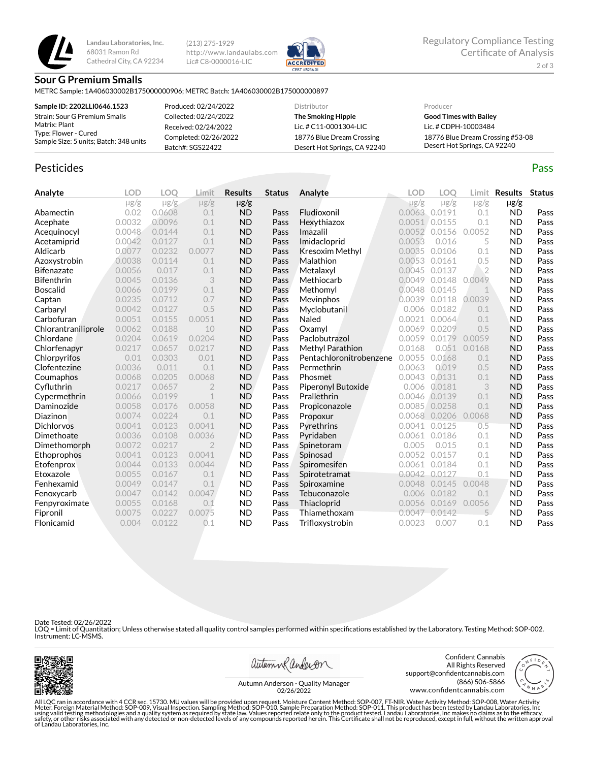

**Landau Laboratories, Inc.** 68031 Ramon Rd Cathedral City, CA 92234

(213) 275-1929 http://www.landaulabs.com Lic# C8-0000016-LIC



#### **Sour G Premium Smalls**

METRC Sample: 1A406030002B175000000906; METRC Batch: 1A406030002B175000000897

| Sample ID: 2202LLI0646.1523                                    | Produced: 02/24/2022  | Distributor                  | Producer                         |
|----------------------------------------------------------------|-----------------------|------------------------------|----------------------------------|
| Strain: Sour G Premium Smalls                                  | Collected: 02/24/2022 | The Smoking Hippie           | <b>Good Times with Bailey</b>    |
| Matrix: Plant                                                  | Received: 02/24/2022  | Lic. # C11-0001304-LIC       | Lic. # CDPH-10003484             |
| Type: Flower - Cured<br>Sample Size: 5 units; Batch: 348 units | Completed: 02/26/2022 | 18776 Blue Dream Crossing    | 18776 Blue Dream Crossing #53-08 |
|                                                                | Batch#: SGS22422      | Desert Hot Springs, CA 92240 | Desert Hot Springs, CA 92240     |

# Pesticides **Passage Contract Contract Contract Contract Contract Contract Contract Contract Contract Contract Contract Contract Contract Contract Contract Contract Contract Contract Contract Contract Contract Contract Cont**

**Analyte LOD LOQ Limit Results Status**  $\mu$ g/g  $\mu$ g/g  $\mu$ g/g  $\mu$ g/g Abamectin 0.02 0.0608 0.1 ND Pass Acephate 0.0032 0.0096 0.1 ND Pass Acequinocyl 0.0048 0.0144 0.1 ND Pass Acetamiprid 0.0042 0.0127 0.1 ND Pass Aldicarb 0.0077 0.0232 0.0077 ND Pass Azoxystrobin 0.0038 0.0114 0.1 ND Pass **Bifenazate** 0.0056 0.017 0.1 **ND Pass Bifenthrin** 0.0045 0.0136 3 **ND Pass** Boscalid 0.0066 0.0199 0.1 ND Pass **Captan 19 0.0235 0.0712 0.7 ND Pass** Carbaryl 0.0042 0.0127 0.5 ND Pass **Carbofuran 1888** 0.0051 0.0155 0.0051 **ND Pass**<br> **Chlorantraniliprole** 0.0062 0.0188 10 **ND Pass** Chlorantraniliprole 0.0062 0.0188 10 ND Pass Chlordane 0.0204 0.0619 0.0204 ND Pass Chlorfenapyr 0.0217 0.0657 0.0217 ND Pass Chlorpyrifos 0.01 0.0303 0.01 ND Pass Clofentezine 0.0036 0.011 0.1 ND Pass Coumaphos 0.0068 0.0205 0.0068 ND Pass CyØuthrin 0.0217 0.0657 2 ND Pass Cypermethrin 0.0066 0.0199 1 ND Pass Daminozide 0.0058 0.0176 0.0058 ND Pass **Diazinon** 0.0074 0.0224 0.1 **ND Pass** Dichlorvos 0.0041 0.0123 0.0041 ND Pass Dimethoate 0.0036 0.0108 0.0036 ND Pass Dimethomorph 0.0072 0.0217 2 ND Pass Ethoprophos 0.0041 0.0123 0.0041 ND Pass Etofenprox 0.0044 0.0133 0.0044 ND Pass **Etoxazole** 0.0055 0.0167 0.1 **ND Pass**<br> **Fenhexamid** 0.0049 0.0147 0.1 **ND Pass Fenhexamid** 0.0049 0.0147 0.1 **ND Pass** Fenoxycarb 0.0047 0.0142 0.0047 ND Pass Fenpyroximate 0.0055 0.0168 0.1 ND Pass Fipronil 0.0075 0.0227 0.0075 ND Pass Flonicamid 0.004 0.0122 0.1 ND Pass **Analyte LOD LOQ Limit Results Status**  $\mu$ g/g  $\mu$ g/g  $\mu$ g/g  $\mu$ g/g Fludioxonil 0.0063 0.0191 0.1 ND Pass Hexythiazox 0.0051 0.0155 0.1 ND Pass **Imazalil 1992 0.0052 0.0052 0.0052 ND Pass** Imidacloprid 0.0053 0.016 5 ND Pass **Kresoxim Methyl** 0.0035 0.0106 0.1 **ND Pass Malathion** 0.00053 0.0161 0.5 **ND Pass** Metalaxyl 0.0045 0.0137 2 ND Pass Methiocarb 0.0049 0.0148 0.0049 ND Pass **Methomyl** 0.0048 0.0145 1 **ND Pass** Mevinphos 0.0039 0.0118 0.0039 ND Pass Myclobutanil 0.006 0.0182 0.1 ND Pass Naled 0.0021 0.0064 0.1 ND Pass **Oxamyl 0.0069 0.0209 0.5 ND Pass** Paclobutrazol 0.0059 0.0179 0.0059 ND Pass **Methyl Parathion** 0.0168 0.051 0.0168 **ND Pass** Pentachloronitrobenzene 0.0055 0.0168 0.1 ND Pass **Permethrin** 0.0063 0.019 0.5 **ND Pass** Phosmet 0.0043 0.0131 0.1 ND Pass Piperonyl Butoxide 0.006 0.0181 3 ND Pass **Prallethrin** 0.0046 0.0139 0.1 **ND Pass Propiconazole** 0.00085 0.0258 0.1 **ND Pass** Propoxur 0.0068 0.0206 0.0068 ND Pass **Pyrethrins** 0.0041 0.0125 0.5 **ND Pass Pyridaben** 0.0061 0.0186 0.1 **ND Pass Spinetoram 0.005 0.015 0.1 ND Pass Spinosad** 0.0052 0.0157 0.1 **ND Pass** Spiromesifen 0.0061 0.0184 0.1 ND Pass Spirotetramat 0.0042 0.0127 0.1 ND Pass **Spiroxamine** 0.0048 0.0145 0.0048 **ND Pass** Tebuconazole 0.006 0.0182 0.1 ND Pass **Thiacloprid** 0.0056 0.0169 0.0056 ND Pass Thiamethoxam 0.0047 0.0142 5 ND Pass Trifloxystrobin 0.0023 0.007 0.1 ND Pass

Date Tested: 02/26/2022

LOQ = Limit of Quantitation; Unless otherwise stated all quality control samples performed within specifications established by the Laboratory. Testing Method: SOP-002. Instrument: LC-MSMS.



autumn Randerson

Confident Cannabis All Rights Reserved support@confidentcannabis.com (866) 506-5866 www.confidentcannabis.com



Autumn Anderson - Quality Manager 02/26/2022

All LQC ran in accordance with 4 CCR sec. 15730. MU values will be provided upon request. Moisture Content Method: SOP-007, FT-NIR. Water Activity Method: SOP-008, Water Activity<br>Meter. Foreign Material Method: SOP-009, Vi of Landau Laboratories, Inc.